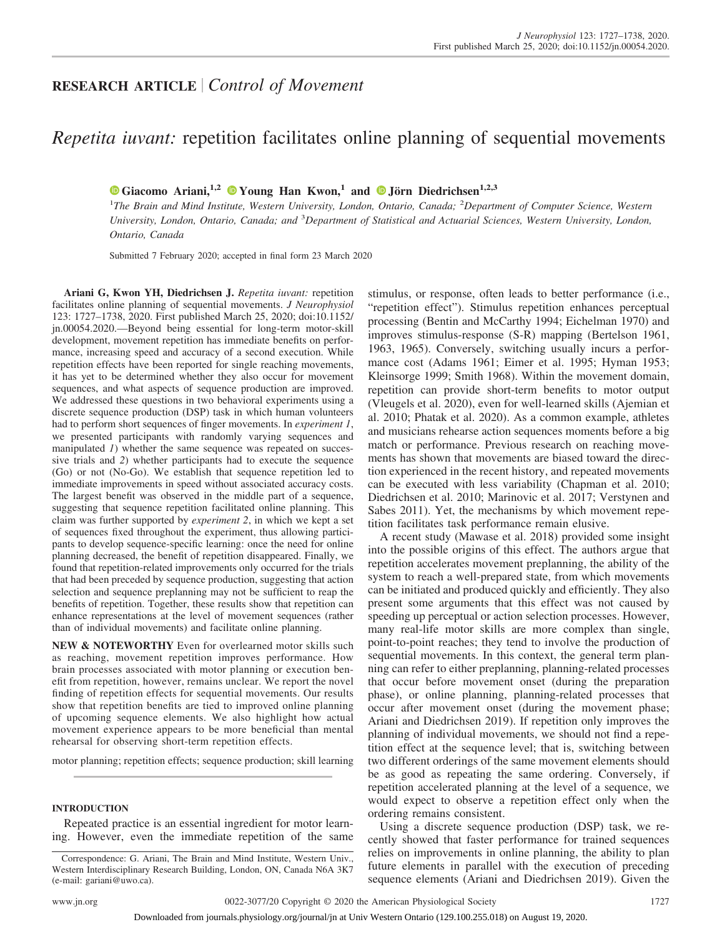# **RESEARCH ARTICLE** *Control of Movement*

# *Repetita iuvant:* repetition facilitates online planning of sequential movements

# $\bullet$  [Giacomo Ariani,](https://orcid.org/0000-0001-9074-1272)<sup>1,2</sup>  $\bullet$  [Young Han Kwon,](https://orcid.org/0000-0002-8519-8313)<sup>1</sup> and  $\bullet$  [Jörn Diedrichsen](https://orcid.org/0000-0003-0264-8532)<sup>1,2,3</sup>

<sup>1</sup>The Brain and Mind Institute, Western University, London, Ontario, Canada; <sup>2</sup>Department of Computer Science, Western *University, London, Ontario, Canada; and* <sup>3</sup> *Department of Statistical and Actuarial Sciences, Western University, London, Ontario, Canada*

Submitted 7 February 2020; accepted in final form 23 March 2020

**Ariani G, Kwon YH, Diedrichsen J.** *Repetita iuvant:* repetition facilitates online planning of sequential movements. *J Neurophysiol* 123: 1727–1738, 2020. First published March 25, 2020; doi[:10.1152/](http://doi.org/10.1152/jn.00054.2020) [jn.00054.2020.](http://doi.org/10.1152/jn.00054.2020)—Beyond being essential for long-term motor-skill development, movement repetition has immediate benefits on performance, increasing speed and accuracy of a second execution. While repetition effects have been reported for single reaching movements, it has yet to be determined whether they also occur for movement sequences, and what aspects of sequence production are improved. We addressed these questions in two behavioral experiments using a discrete sequence production (DSP) task in which human volunteers had to perform short sequences of finger movements. In *experiment 1*, we presented participants with randomly varying sequences and manipulated *1*) whether the same sequence was repeated on successive trials and *2*) whether participants had to execute the sequence (Go) or not (No-Go). We establish that sequence repetition led to immediate improvements in speed without associated accuracy costs. The largest benefit was observed in the middle part of a sequence, suggesting that sequence repetition facilitated online planning. This claim was further supported by *experiment 2*, in which we kept a set of sequences fixed throughout the experiment, thus allowing participants to develop sequence-specific learning: once the need for online planning decreased, the benefit of repetition disappeared. Finally, we found that repetition-related improvements only occurred for the trials that had been preceded by sequence production, suggesting that action selection and sequence preplanning may not be sufficient to reap the benefits of repetition. Together, these results show that repetition can enhance representations at the level of movement sequences (rather than of individual movements) and facilitate online planning.

**NEW & NOTEWORTHY** Even for overlearned motor skills such as reaching, movement repetition improves performance. How brain processes associated with motor planning or execution benefit from repetition, however, remains unclear. We report the novel finding of repetition effects for sequential movements. Our results show that repetition benefits are tied to improved online planning of upcoming sequence elements. We also highlight how actual movement experience appears to be more beneficial than mental rehearsal for observing short-term repetition effects.

motor planning; repetition effects; sequence production; skill learning

## **INTRODUCTION**

Repeated practice is an essential ingredient for motor learning. However, even the immediate repetition of the same stimulus, or response, often leads to better performance (i.e., "repetition effect"). Stimulus repetition enhances perceptual processing (Bentin and McCarthy 1994; Eichelman 1970) and improves stimulus-response (S-R) mapping (Bertelson 1961, 1963, 1965). Conversely, switching usually incurs a performance cost (Adams 1961; Eimer et al. 1995; Hyman 1953; Kleinsorge 1999; Smith 1968). Within the movement domain, repetition can provide short-term benefits to motor output (Vleugels et al. 2020), even for well-learned skills (Ajemian et al. 2010; Phatak et al. 2020). As a common example, athletes and musicians rehearse action sequences moments before a big match or performance. Previous research on reaching movements has shown that movements are biased toward the direction experienced in the recent history, and repeated movements can be executed with less variability (Chapman et al. 2010; Diedrichsen et al. 2010; Marinovic et al. 2017; Verstynen and Sabes 2011). Yet, the mechanisms by which movement repetition facilitates task performance remain elusive.

A recent study (Mawase et al. 2018) provided some insight into the possible origins of this effect. The authors argue that repetition accelerates movement preplanning, the ability of the system to reach a well-prepared state, from which movements can be initiated and produced quickly and efficiently. They also present some arguments that this effect was not caused by speeding up perceptual or action selection processes. However, many real-life motor skills are more complex than single, point-to-point reaches; they tend to involve the production of sequential movements. In this context, the general term planning can refer to either preplanning, planning-related processes that occur before movement onset (during the preparation phase), or online planning, planning-related processes that occur after movement onset (during the movement phase; Ariani and Diedrichsen 2019). If repetition only improves the planning of individual movements, we should not find a repetition effect at the sequence level; that is, switching between two different orderings of the same movement elements should be as good as repeating the same ordering. Conversely, if repetition accelerated planning at the level of a sequence, we would expect to observe a repetition effect only when the ordering remains consistent.

Using a discrete sequence production (DSP) task, we recently showed that faster performance for trained sequences relies on improvements in online planning, the ability to plan future elements in parallel with the execution of preceding sequence elements (Ariani and Diedrichsen 2019). Given the

Correspondence: G. Ariani, The Brain and Mind Institute, Western Univ., Western Interdisciplinary Research Building, London, ON, Canada N6A 3K7 (e-mail: [gariani@uwo.ca\)](mailto:gariani@uwo.ca).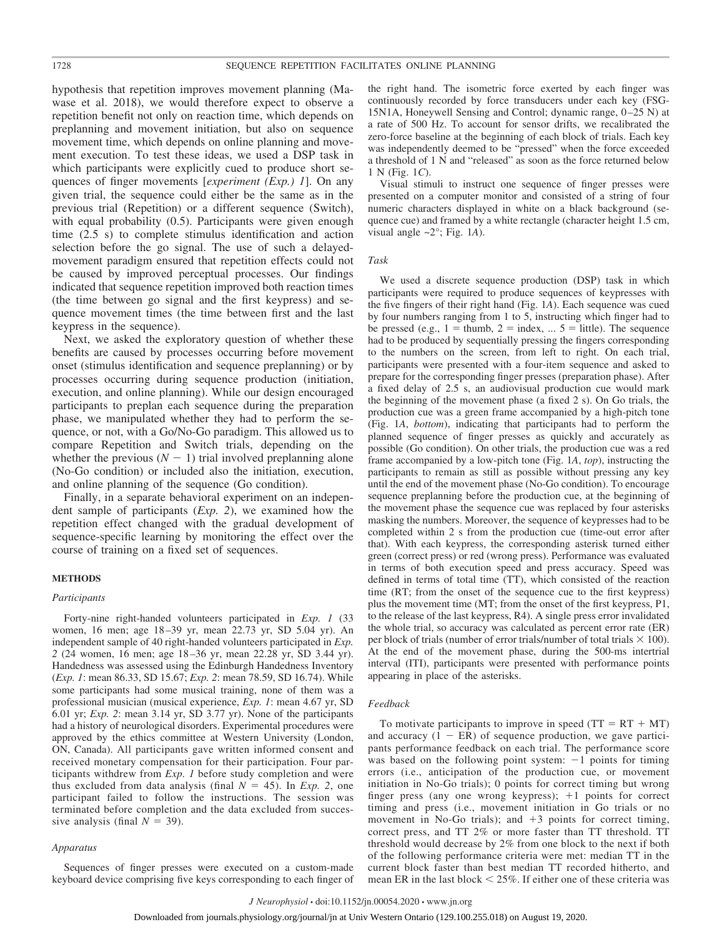hypothesis that repetition improves movement planning (Mawase et al. 2018), we would therefore expect to observe a repetition benefit not only on reaction time, which depends on preplanning and movement initiation, but also on sequence movement time, which depends on online planning and movement execution. To test these ideas, we used a DSP task in which participants were explicitly cued to produce short sequences of finger movements [*experiment (Exp.) 1*]. On any given trial, the sequence could either be the same as in the previous trial (Repetition) or a different sequence (Switch), with equal probability (0.5). Participants were given enough time (2.5 s) to complete stimulus identification and action selection before the go signal. The use of such a delayedmovement paradigm ensured that repetition effects could not be caused by improved perceptual processes. Our findings indicated that sequence repetition improved both reaction times (the time between go signal and the first keypress) and sequence movement times (the time between first and the last keypress in the sequence).

Next, we asked the exploratory question of whether these benefits are caused by processes occurring before movement onset (stimulus identification and sequence preplanning) or by processes occurring during sequence production (initiation, execution, and online planning). While our design encouraged participants to preplan each sequence during the preparation phase, we manipulated whether they had to perform the sequence, or not, with a Go/No-Go paradigm. This allowed us to compare Repetition and Switch trials, depending on the whether the previous  $(N - 1)$  trial involved preplanning alone (No-Go condition) or included also the initiation, execution, and online planning of the sequence (Go condition).

Finally, in a separate behavioral experiment on an independent sample of participants (*Exp. 2*), we examined how the repetition effect changed with the gradual development of sequence-specific learning by monitoring the effect over the course of training on a fixed set of sequences.

#### **METHODS**

#### *Participants*

Forty-nine right-handed volunteers participated in *Exp. 1* (33 women, 16 men; age 18 –39 yr, mean 22.73 yr, SD 5.04 yr). An independent sample of 40 right-handed volunteers participated in *Exp. 2* (24 women, 16 men; age 18 –36 yr, mean 22.28 yr, SD 3.44 yr). Handedness was assessed using the Edinburgh Handedness Inventory (*Exp. 1*: mean 86.33, SD 15.67; *Exp. 2*: mean 78.59, SD 16.74). While some participants had some musical training, none of them was a professional musician (musical experience, *Exp. 1*: mean 4.67 yr, SD 6.01 yr; *Exp. 2*: mean 3.14 yr, SD 3.77 yr). None of the participants had a history of neurological disorders. Experimental procedures were approved by the ethics committee at Western University (London, ON, Canada). All participants gave written informed consent and received monetary compensation for their participation. Four participants withdrew from *Exp. 1* before study completion and were thus excluded from data analysis (final  $N = 45$ ). In *Exp.* 2, one participant failed to follow the instructions. The session was terminated before completion and the data excluded from successive analysis (final  $N = 39$ ).

#### *Apparatus*

Sequences of finger presses were executed on a custom-made keyboard device comprising five keys corresponding to each finger of the right hand. The isometric force exerted by each finger was continuously recorded by force transducers under each key (FSG-15N1A, Honeywell Sensing and Control; dynamic range, 0 –25 N) at a rate of 500 Hz. To account for sensor drifts, we recalibrated the zero-force baseline at the beginning of each block of trials. Each key was independently deemed to be "pressed" when the force exceeded a threshold of 1 N and "released" as soon as the force returned below 1 N (Fig. 1*C*).

Visual stimuli to instruct one sequence of finger presses were presented on a computer monitor and consisted of a string of four numeric characters displayed in white on a black background (sequence cue) and framed by a white rectangle (character height 1.5 cm, visual angle  $\sim 2^\circ$ ; Fig. 1*A*).

#### *Task*

We used a discrete sequence production (DSP) task in which participants were required to produce sequences of keypresses with the five fingers of their right hand (Fig. 1*A*). Each sequence was cued by four numbers ranging from 1 to 5, instructing which finger had to be pressed (e.g.,  $1 =$  thumb,  $2 =$  index, ...  $5 =$  little). The sequence had to be produced by sequentially pressing the fingers corresponding to the numbers on the screen, from left to right. On each trial, participants were presented with a four-item sequence and asked to prepare for the corresponding finger presses (preparation phase). After a fixed delay of 2.5 s, an audiovisual production cue would mark the beginning of the movement phase (a fixed 2 s). On Go trials, the production cue was a green frame accompanied by a high-pitch tone (Fig. 1*A*, *bottom*), indicating that participants had to perform the planned sequence of finger presses as quickly and accurately as possible (Go condition). On other trials, the production cue was a red frame accompanied by a low-pitch tone (Fig. 1*A*, *top*), instructing the participants to remain as still as possible without pressing any key until the end of the movement phase (No-Go condition). To encourage sequence preplanning before the production cue, at the beginning of the movement phase the sequence cue was replaced by four asterisks masking the numbers. Moreover, the sequence of keypresses had to be completed within 2 s from the production cue (time-out error after that). With each keypress, the corresponding asterisk turned either green (correct press) or red (wrong press). Performance was evaluated in terms of both execution speed and press accuracy. Speed was defined in terms of total time (TT), which consisted of the reaction time (RT; from the onset of the sequence cue to the first keypress) plus the movement time (MT; from the onset of the first keypress, P1, to the release of the last keypress, R4). A single press error invalidated the whole trial, so accuracy was calculated as percent error rate (ER) per block of trials (number of error trials/number of total trials  $\times$  100). At the end of the movement phase, during the 500-ms intertrial interval (ITI), participants were presented with performance points appearing in place of the asterisks.

### *Feedback*

To motivate participants to improve in speed  $(TT = RT + MT)$ and accuracy  $(1 - ER)$  of sequence production, we gave participants performance feedback on each trial. The performance score was based on the following point system:  $-1$  points for timing errors (i.e., anticipation of the production cue, or movement initiation in No-Go trials); 0 points for correct timing but wrong finger press (any one wrong keypress);  $+1$  points for correct timing and press (i.e., movement initiation in Go trials or no movement in No-Go trials); and  $+3$  points for correct timing, correct press, and TT 2% or more faster than TT threshold. TT threshold would decrease by 2% from one block to the next if both of the following performance criteria were met: median TT in the current block faster than best median TT recorded hitherto, and mean ER in the last block  $\leq$  25%. If either one of these criteria was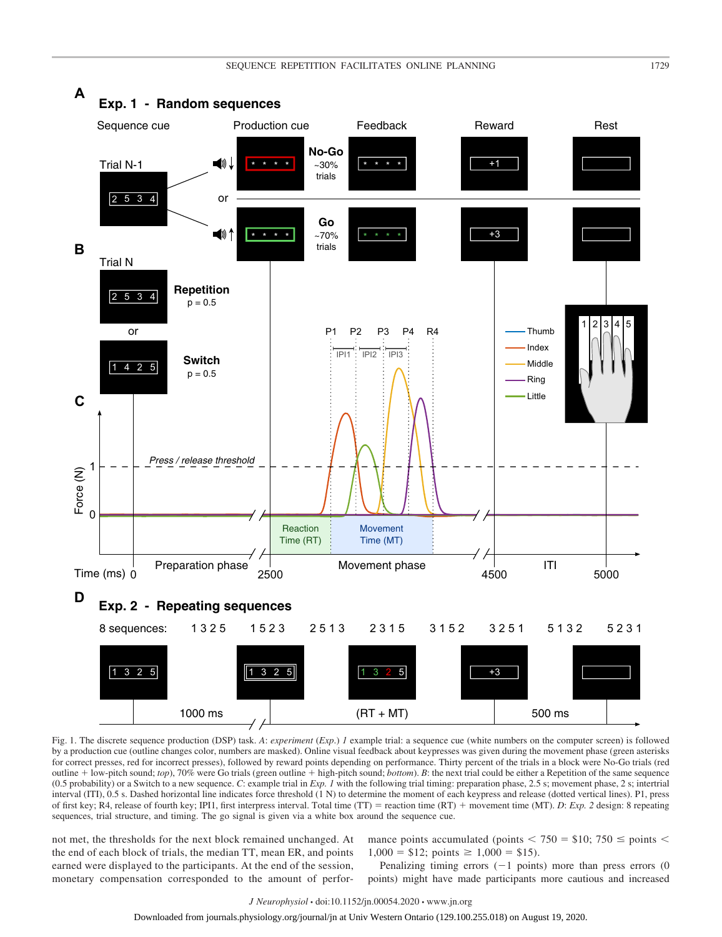

Fig. 1. The discrete sequence production (DSP) task. *A*: *experiment* (*Exp*.) *1* example trial: a sequence cue (white numbers on the computer screen) is followed by a production cue (outline changes color, numbers are masked). Online visual feedback about keypresses was given during the movement phase (green asterisks for correct presses, red for incorrect presses), followed by reward points depending on performance. Thirty percent of the trials in a block were No-Go trials (red outline + low-pitch sound; *top*), 70% were Go trials (green outline + high-pitch sound; *bottom*). *B*: the next trial could be either a Repetition of the same sequence (0.5 probability) or a Switch to a new sequence. *C*: example trial in *Exp. 1* with the following trial timing: preparation phase, 2.5 s; movement phase, 2 s; intertrial interval (ITI), 0.5 s. Dashed horizontal line indicates force threshold (1 N) to determine the moment of each keypress and release (dotted vertical lines). P1, press of first key; R4, release of fourth key; IPI1, first interpress interval. Total time (TT) reaction time (RT) movement time (MT). *D*: *Exp. 2* design: 8 repeating sequences, trial structure, and timing. The go signal is given via a white box around the sequence cue.

not met, the thresholds for the next block remained unchanged. At the end of each block of trials, the median TT, mean ER, and points earned were displayed to the participants. At the end of the session, monetary compensation corresponded to the amount of perfor-

mance points accumulated (points  $\langle 750 = $10; 750 \leq 750 \rangle$  $1,000 = $12$ ; points  $\geq 1,000 = $15$ ).

Penalizing timing errors  $(-1)$  points) more than press errors  $(0)$ points) might have made participants more cautious and increased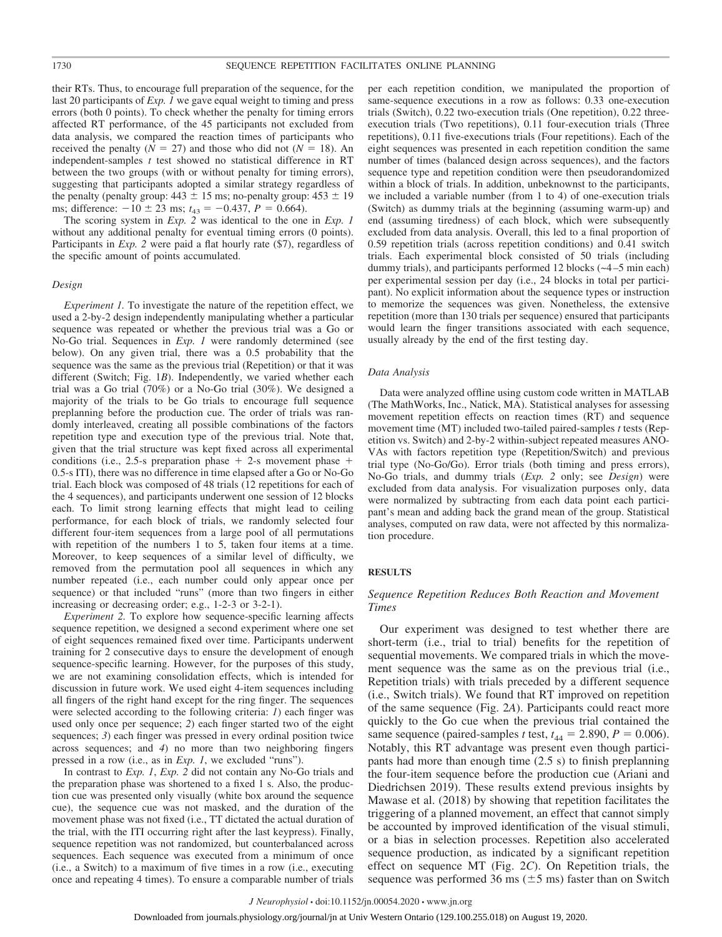their RTs. Thus, to encourage full preparation of the sequence, for the last 20 participants of *Exp. 1* we gave equal weight to timing and press errors (both 0 points). To check whether the penalty for timing errors affected RT performance, of the 45 participants not excluded from data analysis, we compared the reaction times of participants who received the penalty ( $N = 27$ ) and those who did not ( $N = 18$ ). An independent-samples *t* test showed no statistical difference in RT between the two groups (with or without penalty for timing errors), suggesting that participants adopted a similar strategy regardless of the penalty (penalty group:  $443 \pm 15$  ms; no-penalty group:  $453 \pm 19$ ms; difference:  $-10 \pm 23$  ms;  $t_{43} = -0.437$ ,  $P = 0.664$ ).

The scoring system in *Exp. 2* was identical to the one in *Exp. 1* without any additional penalty for eventual timing errors (0 points). Participants in *Exp. 2* were paid a flat hourly rate (\$7), regardless of the specific amount of points accumulated.

### *Design*

*Experiment 1.* To investigate the nature of the repetition effect, we used a 2-by-2 design independently manipulating whether a particular sequence was repeated or whether the previous trial was a Go or No-Go trial. Sequences in *Exp. 1* were randomly determined (see below). On any given trial, there was a 0.5 probability that the sequence was the same as the previous trial (Repetition) or that it was different (Switch; Fig. 1*B*). Independently, we varied whether each trial was a Go trial (70%) or a No-Go trial (30%). We designed a majority of the trials to be Go trials to encourage full sequence preplanning before the production cue. The order of trials was randomly interleaved, creating all possible combinations of the factors repetition type and execution type of the previous trial. Note that, given that the trial structure was kept fixed across all experimental conditions (i.e., 2.5-s preparation phase  $+$  2-s movement phase  $+$ 0.5-s ITI), there was no difference in time elapsed after a Go or No-Go trial. Each block was composed of 48 trials (12 repetitions for each of the 4 sequences), and participants underwent one session of 12 blocks each. To limit strong learning effects that might lead to ceiling performance, for each block of trials, we randomly selected four different four-item sequences from a large pool of all permutations with repetition of the numbers 1 to 5, taken four items at a time. Moreover, to keep sequences of a similar level of difficulty, we removed from the permutation pool all sequences in which any number repeated (i.e., each number could only appear once per sequence) or that included "runs" (more than two fingers in either increasing or decreasing order; e.g., 1-2-3 or 3-2-1).

*Experiment 2.* To explore how sequence-specific learning affects sequence repetition, we designed a second experiment where one set of eight sequences remained fixed over time. Participants underwent training for 2 consecutive days to ensure the development of enough sequence-specific learning. However, for the purposes of this study, we are not examining consolidation effects, which is intended for discussion in future work. We used eight 4-item sequences including all fingers of the right hand except for the ring finger. The sequences were selected according to the following criteria: *1*) each finger was used only once per sequence; *2*) each finger started two of the eight sequences; *3*) each finger was pressed in every ordinal position twice across sequences; and *4*) no more than two neighboring fingers pressed in a row (i.e., as in *Exp. 1*, we excluded "runs").

In contrast to *Exp. 1*, *Exp. 2* did not contain any No-Go trials and the preparation phase was shortened to a fixed 1 s. Also, the production cue was presented only visually (white box around the sequence cue), the sequence cue was not masked, and the duration of the movement phase was not fixed (i.e., TT dictated the actual duration of the trial, with the ITI occurring right after the last keypress). Finally, sequence repetition was not randomized, but counterbalanced across sequences. Each sequence was executed from a minimum of once (i.e., a Switch) to a maximum of five times in a row (i.e., executing once and repeating 4 times). To ensure a comparable number of trials

per each repetition condition, we manipulated the proportion of same-sequence executions in a row as follows: 0.33 one-execution trials (Switch), 0.22 two-execution trials (One repetition), 0.22 threeexecution trials (Two repetitions), 0.11 four-execution trials (Three repetitions), 0.11 five-executions trials (Four repetitions). Each of the eight sequences was presented in each repetition condition the same number of times (balanced design across sequences), and the factors sequence type and repetition condition were then pseudorandomized within a block of trials. In addition, unbeknownst to the participants, we included a variable number (from 1 to 4) of one-execution trials (Switch) as dummy trials at the beginning (assuming warm-up) and end (assuming tiredness) of each block, which were subsequently excluded from data analysis. Overall, this led to a final proportion of 0.59 repetition trials (across repetition conditions) and 0.41 switch trials. Each experimental block consisted of 50 trials (including dummy trials), and participants performed 12 blocks (~4 –5 min each) per experimental session per day (i.e., 24 blocks in total per participant). No explicit information about the sequence types or instruction to memorize the sequences was given. Nonetheless, the extensive repetition (more than 130 trials per sequence) ensured that participants would learn the finger transitions associated with each sequence, usually already by the end of the first testing day.

#### *Data Analysis*

Data were analyzed offline using custom code written in MATLAB (The MathWorks, Inc., Natick, MA). Statistical analyses for assessing movement repetition effects on reaction times (RT) and sequence movement time (MT) included two-tailed paired-samples *t* tests (Repetition vs. Switch) and 2-by-2 within-subject repeated measures ANO-VAs with factors repetition type (Repetition/Switch) and previous trial type (No-Go/Go). Error trials (both timing and press errors), No-Go trials, and dummy trials (*Exp. 2* only; see *Design*) were excluded from data analysis. For visualization purposes only, data were normalized by subtracting from each data point each participant's mean and adding back the grand mean of the group. Statistical analyses, computed on raw data, were not affected by this normalization procedure.

## **RESULTS**

# *Sequence Repetition Reduces Both Reaction and Movement Times*

Our experiment was designed to test whether there are short-term (i.e., trial to trial) benefits for the repetition of sequential movements. We compared trials in which the movement sequence was the same as on the previous trial (i.e., Repetition trials) with trials preceded by a different sequence (i.e., Switch trials). We found that RT improved on repetition of the same sequence (Fig. 2*A*). Participants could react more quickly to the Go cue when the previous trial contained the same sequence (paired-samples *t* test,  $t_{44} = 2.890$ ,  $P = 0.006$ ). Notably, this RT advantage was present even though participants had more than enough time (2.5 s) to finish preplanning the four-item sequence before the production cue (Ariani and Diedrichsen 2019). These results extend previous insights by Mawase et al. (2018) by showing that repetition facilitates the triggering of a planned movement, an effect that cannot simply be accounted by improved identification of the visual stimuli, or a bias in selection processes. Repetition also accelerated sequence production, as indicated by a significant repetition effect on sequence MT (Fig. 2*C*). On Repetition trials, the sequence was performed 36 ms  $(\pm 5 \text{ ms})$  faster than on Switch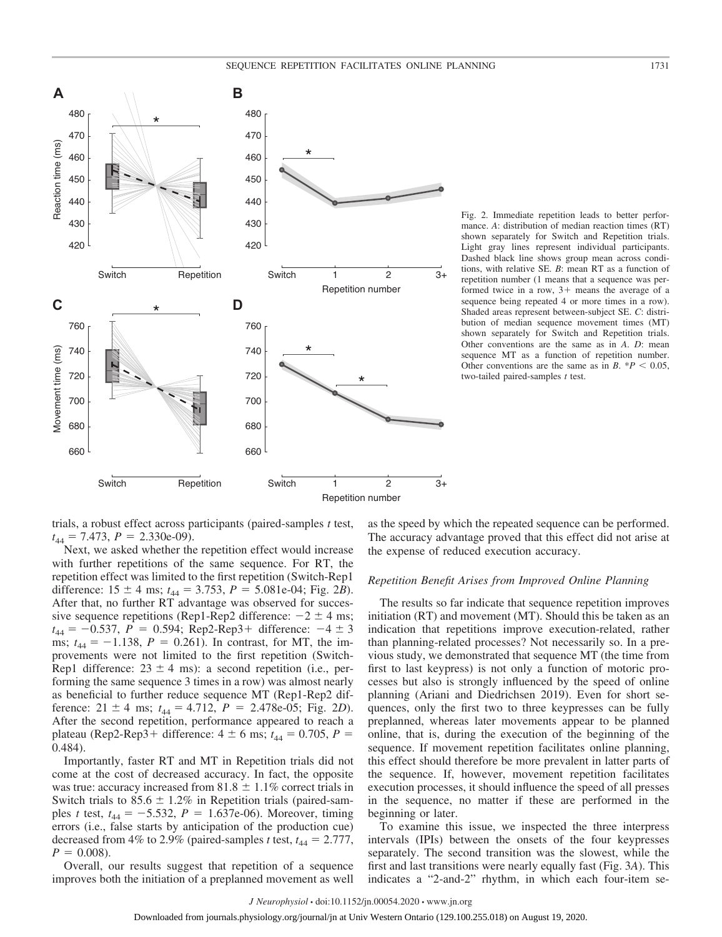

Fig. 2. Immediate repetition leads to better performance. *A*: distribution of median reaction times (RT) shown separately for Switch and Repetition trials. Light gray lines represent individual participants. Dashed black line shows group mean across conditions, with relative SE. *B*: mean RT as a function of repetition number (1 means that a sequence was performed twice in a row,  $3+$  means the average of a sequence being repeated 4 or more times in a row). Shaded areas represent between-subject SE. *C*: distribution of median sequence movement times (MT) shown separately for Switch and Repetition trials. Other conventions are the same as in *A*. *D*: mean sequence MT as a function of repetition number. Other conventions are the same as in  $B \cdot {}^{*}P$  < 0.05, two-tailed paired-samples *t* test.

trials, a robust effect across participants (paired-samples *t* test,  $t_{44} = 7.473$ ,  $P = 2.330e-09$ ).

Next, we asked whether the repetition effect would increase with further repetitions of the same sequence. For RT, the repetition effect was limited to the first repetition (Switch-Rep1 difference:  $15 \pm 4$  ms;  $t_{44} = 3.753$ ,  $P = 5.081e-04$ ; Fig. 2*B*). After that, no further RT advantage was observed for successive sequence repetitions (Rep1-Rep2 difference:  $-2 \pm 4$  ms;  $t_{44} = -0.537, P = 0.594; Rep2-Rep3+ difference: -4 \pm 3$ ms;  $t_{44} = -1.138$ ,  $P = 0.261$ ). In contrast, for MT, the improvements were not limited to the first repetition (Switch-Rep1 difference:  $23 \pm 4$  ms): a second repetition (i.e., performing the same sequence 3 times in a row) was almost nearly as beneficial to further reduce sequence MT (Rep1-Rep2 difference:  $21 \pm 4$  ms;  $t_{44} = 4.712$ ,  $P = 2.478e-05$ ; Fig. 2*D*). After the second repetition, performance appeared to reach a plateau (Rep2-Rep3+ difference:  $4 \pm 6$  ms;  $t_{44} = 0.705$ ,  $P =$ 0.484).

Importantly, faster RT and MT in Repetition trials did not come at the cost of decreased accuracy. In fact, the opposite was true: accuracy increased from  $81.8 \pm 1.1\%$  correct trials in Switch trials to  $85.6 \pm 1.2\%$  in Repetition trials (paired-samples *t* test,  $t_{44} = -5.532$ ,  $P = 1.637e-06$ ). Moreover, timing errors (i.e., false starts by anticipation of the production cue) decreased from 4% to 2.9% (paired-samples *t* test,  $t_{44} = 2.777$ ,  $P = 0.008$ .

Overall, our results suggest that repetition of a sequence improves both the initiation of a preplanned movement as well

as the speed by which the repeated sequence can be performed. The accuracy advantage proved that this effect did not arise at the expense of reduced execution accuracy.

#### *Repetition Benefit Arises from Improved Online Planning*

The results so far indicate that sequence repetition improves initiation (RT) and movement (MT). Should this be taken as an indication that repetitions improve execution-related, rather than planning-related processes? Not necessarily so. In a previous study, we demonstrated that sequence MT (the time from first to last keypress) is not only a function of motoric processes but also is strongly influenced by the speed of online planning (Ariani and Diedrichsen 2019). Even for short sequences, only the first two to three keypresses can be fully preplanned, whereas later movements appear to be planned online, that is, during the execution of the beginning of the sequence. If movement repetition facilitates online planning, this effect should therefore be more prevalent in latter parts of the sequence. If, however, movement repetition facilitates execution processes, it should influence the speed of all presses in the sequence, no matter if these are performed in the beginning or later.

To examine this issue, we inspected the three interpress intervals (IPIs) between the onsets of the four keypresses separately. The second transition was the slowest, while the first and last transitions were nearly equally fast (Fig. 3*A*). This indicates a "2-and-2" rhythm, in which each four-item se-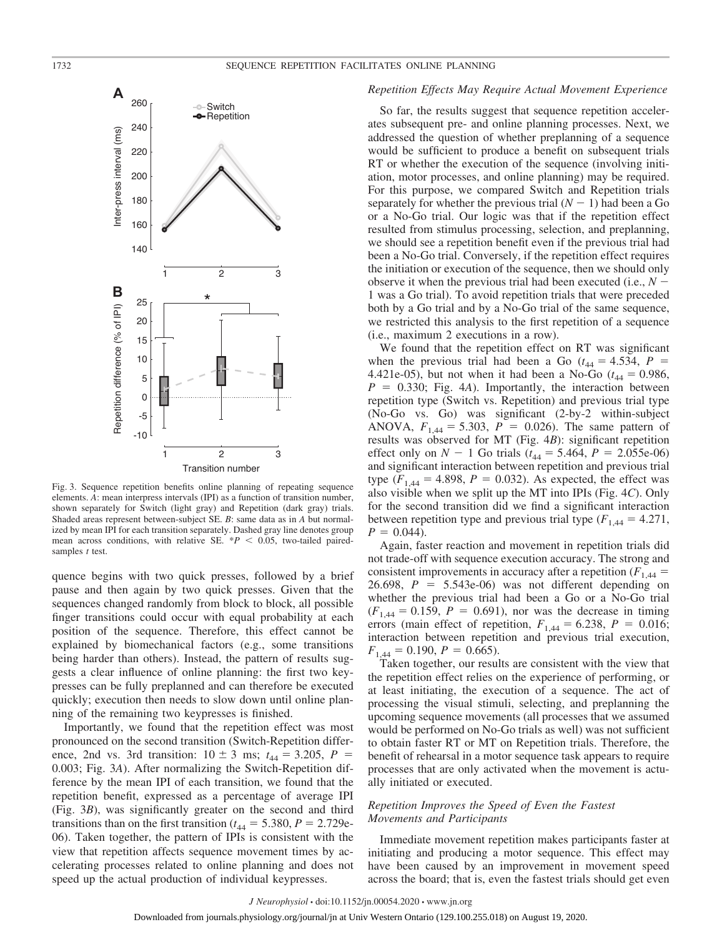

Fig. 3. Sequence repetition benefits online planning of repeating sequence elements. *A*: mean interpress intervals (IPI) as a function of transition number, shown separately for Switch (light gray) and Repetition (dark gray) trials. Shaded areas represent between-subject SE. *B*: same data as in *A* but normalized by mean IPI for each transition separately. Dashed gray line denotes group mean across conditions, with relative SE.  $*P < 0.05$ , two-tailed pairedsamples *t* test.

quence begins with two quick presses, followed by a brief pause and then again by two quick presses. Given that the sequences changed randomly from block to block, all possible finger transitions could occur with equal probability at each position of the sequence. Therefore, this effect cannot be explained by biomechanical factors (e.g., some transitions being harder than others). Instead, the pattern of results suggests a clear influence of online planning: the first two keypresses can be fully preplanned and can therefore be executed quickly; execution then needs to slow down until online planning of the remaining two keypresses is finished.

Importantly, we found that the repetition effect was most pronounced on the second transition (Switch-Repetition difference, 2nd vs. 3rd transition:  $10 \pm 3$  ms;  $t_{44} = 3.205$ ,  $P =$ 0.003; Fig. 3*A*). After normalizing the Switch-Repetition difference by the mean IPI of each transition, we found that the repetition benefit, expressed as a percentage of average IPI (Fig. 3*B*), was significantly greater on the second and third transitions than on the first transition ( $t_{44} = 5.380$ ,  $P = 2.729e$ -06). Taken together, the pattern of IPIs is consistent with the view that repetition affects sequence movement times by accelerating processes related to online planning and does not speed up the actual production of individual keypresses.

# *Repetition Effects May Require Actual Movement Experience*

So far, the results suggest that sequence repetition accelerates subsequent pre- and online planning processes. Next, we addressed the question of whether preplanning of a sequence would be sufficient to produce a benefit on subsequent trials RT or whether the execution of the sequence (involving initiation, motor processes, and online planning) may be required. For this purpose, we compared Switch and Repetition trials separately for whether the previous trial  $(N - 1)$  had been a Go or a No-Go trial. Our logic was that if the repetition effect resulted from stimulus processing, selection, and preplanning, we should see a repetition benefit even if the previous trial had been a No-Go trial. Conversely, if the repetition effect requires the initiation or execution of the sequence, then we should only observe it when the previous trial had been executed (i.e.,  $N -$ 1 was a Go trial). To avoid repetition trials that were preceded both by a Go trial and by a No-Go trial of the same sequence, we restricted this analysis to the first repetition of a sequence (i.e., maximum 2 executions in a row).

We found that the repetition effect on RT was significant when the previous trial had been a Go ( $t_{44} = 4.534$ ,  $P =$ 4.421e-05), but not when it had been a No-Go ( $t_{44} = 0.986$ ,  $P = 0.330$ ; Fig. 4*A*). Importantly, the interaction between repetition type (Switch vs. Repetition) and previous trial type (No-Go vs. Go) was significant (2-by-2 within-subject ANOVA,  $F_{1,44} = 5.303$ ,  $P = 0.026$ ). The same pattern of results was observed for MT (Fig. 4*B*): significant repetition effect only on  $N - 1$  Go trials ( $t_{44} = 5.464$ ,  $P = 2.055e-06$ ) and significant interaction between repetition and previous trial type  $(F_{1,44} = 4.898, P = 0.032)$ . As expected, the effect was also visible when we split up the MT into IPIs (Fig. 4*C*). Only for the second transition did we find a significant interaction between repetition type and previous trial type  $(F_{1,44} = 4.271$ ,  $P = 0.044$ .

Again, faster reaction and movement in repetition trials did not trade-off with sequence execution accuracy. The strong and consistent improvements in accuracy after a repetition  $(F_{1,44} =$ 26.698,  $P = 5.543e-06$  was not different depending on whether the previous trial had been a Go or a No-Go trial  $(F_{1,44} = 0.159, P = 0.691)$ , nor was the decrease in timing errors (main effect of repetition,  $F_{1,44} = 6.238$ ,  $P = 0.016$ ; interaction between repetition and previous trial execution,  $F_{1,44} = 0.190, P = 0.665$ .

Taken together, our results are consistent with the view that the repetition effect relies on the experience of performing, or at least initiating, the execution of a sequence. The act of processing the visual stimuli, selecting, and preplanning the upcoming sequence movements (all processes that we assumed would be performed on No-Go trials as well) was not sufficient to obtain faster RT or MT on Repetition trials. Therefore, the benefit of rehearsal in a motor sequence task appears to require processes that are only activated when the movement is actually initiated or executed.

# *Repetition Improves the Speed of Even the Fastest Movements and Participants*

Immediate movement repetition makes participants faster at initiating and producing a motor sequence. This effect may have been caused by an improvement in movement speed across the board; that is, even the fastest trials should get even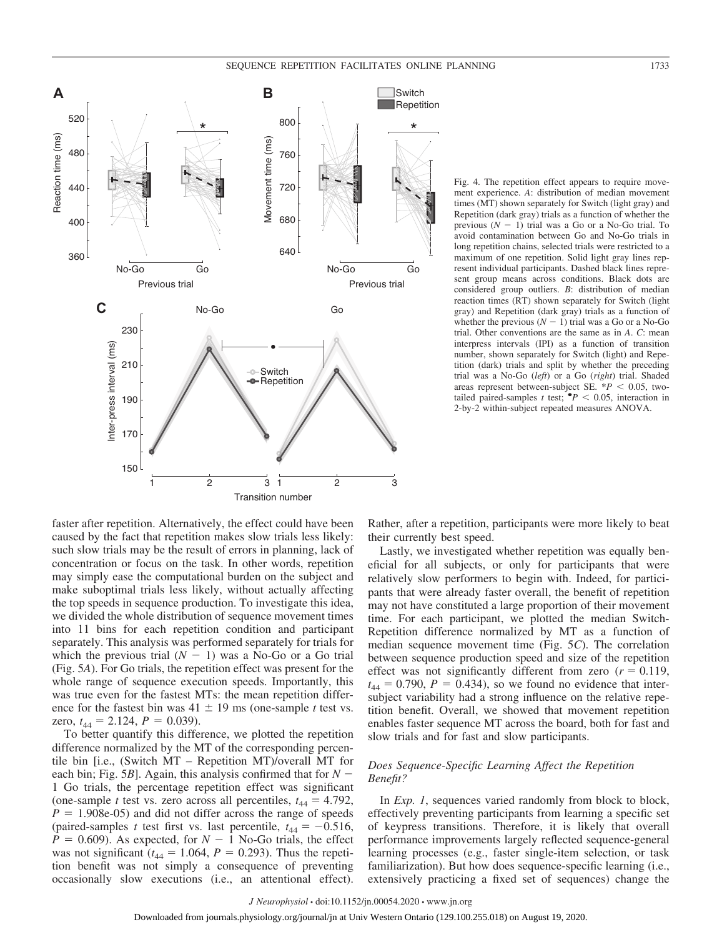# SEQUENCE REPETITION FACILITATES ONLINE PLANNING 1733



Fig. 4. The repetition effect appears to require movement experience. *A*: distribution of median movement times (MT) shown separately for Switch (light gray) and Repetition (dark gray) trials as a function of whether the previous  $(N - 1)$  trial was a Go or a No-Go trial. To avoid contamination between Go and No-Go trials in long repetition chains, selected trials were restricted to a maximum of one repetition. Solid light gray lines represent individual participants. Dashed black lines represent group means across conditions. Black dots are considered group outliers. *B*: distribution of median reaction times (RT) shown separately for Switch (light gray) and Repetition (dark gray) trials as a function of whether the previous  $(N - 1)$  trial was a Go or a No-Go trial. Other conventions are the same as in *A*. *C*: mean interpress intervals (IPI) as a function of transition number, shown separately for Switch (light) and Repetition (dark) trials and split by whether the preceding trial was a No-Go (*left*) or a Go (*right*) trial. Shaded areas represent between-subject SE.  $*P < 0.05$ , twotailed paired-samples *t* test;  $\mathbf{P}$  < 0.05, interaction in 2-by-2 within-subject repeated measures ANOVA.

faster after repetition. Alternatively, the effect could have been caused by the fact that repetition makes slow trials less likely: such slow trials may be the result of errors in planning, lack of concentration or focus on the task. In other words, repetition may simply ease the computational burden on the subject and make suboptimal trials less likely, without actually affecting the top speeds in sequence production. To investigate this idea, we divided the whole distribution of sequence movement times into 11 bins for each repetition condition and participant separately. This analysis was performed separately for trials for which the previous trial  $(N - 1)$  was a No-Go or a Go trial (Fig. 5*A*). For Go trials, the repetition effect was present for the whole range of sequence execution speeds. Importantly, this was true even for the fastest MTs: the mean repetition difference for the fastest bin was  $41 \pm 19$  ms (one-sample *t* test vs. zero,  $t_{44} = 2.124$ ,  $P = 0.039$ ).

To better quantify this difference, we plotted the repetition difference normalized by the MT of the corresponding percentile bin [i.e., (Switch MT – Repetition MT)/overall MT for each bin; Fig. 5*B*]. Again, this analysis confirmed that for  $N -$ 1 Go trials, the percentage repetition effect was significant (one-sample *t* test vs. zero across all percentiles,  $t_{44} = 4.792$ ,  $P = 1.908e-05$  and did not differ across the range of speeds (paired-samples *t* test first vs. last percentile,  $t_{44} = -0.516$ ,  $P = 0.609$ ). As expected, for  $N - 1$  No-Go trials, the effect was not significant ( $t_{44} = 1.064$ ,  $P = 0.293$ ). Thus the repetition benefit was not simply a consequence of preventing occasionally slow executions (i.e., an attentional effect).

Rather, after a repetition, participants were more likely to beat their currently best speed.

Lastly, we investigated whether repetition was equally beneficial for all subjects, or only for participants that were relatively slow performers to begin with. Indeed, for participants that were already faster overall, the benefit of repetition may not have constituted a large proportion of their movement time. For each participant, we plotted the median Switch-Repetition difference normalized by MT as a function of median sequence movement time (Fig. 5*C*). The correlation between sequence production speed and size of the repetition effect was not significantly different from zero  $(r = 0.119,$  $t_{44} = 0.790$ ,  $P = 0.434$ ), so we found no evidence that intersubject variability had a strong influence on the relative repetition benefit. Overall, we showed that movement repetition enables faster sequence MT across the board, both for fast and slow trials and for fast and slow participants.

# *Does Sequence-Specific Learning Affect the Repetition Benefit?*

In *Exp. 1*, sequences varied randomly from block to block, effectively preventing participants from learning a specific set of keypress transitions. Therefore, it is likely that overall performance improvements largely reflected sequence-general learning processes (e.g., faster single-item selection, or task familiarization). But how does sequence-specific learning (i.e., extensively practicing a fixed set of sequences) change the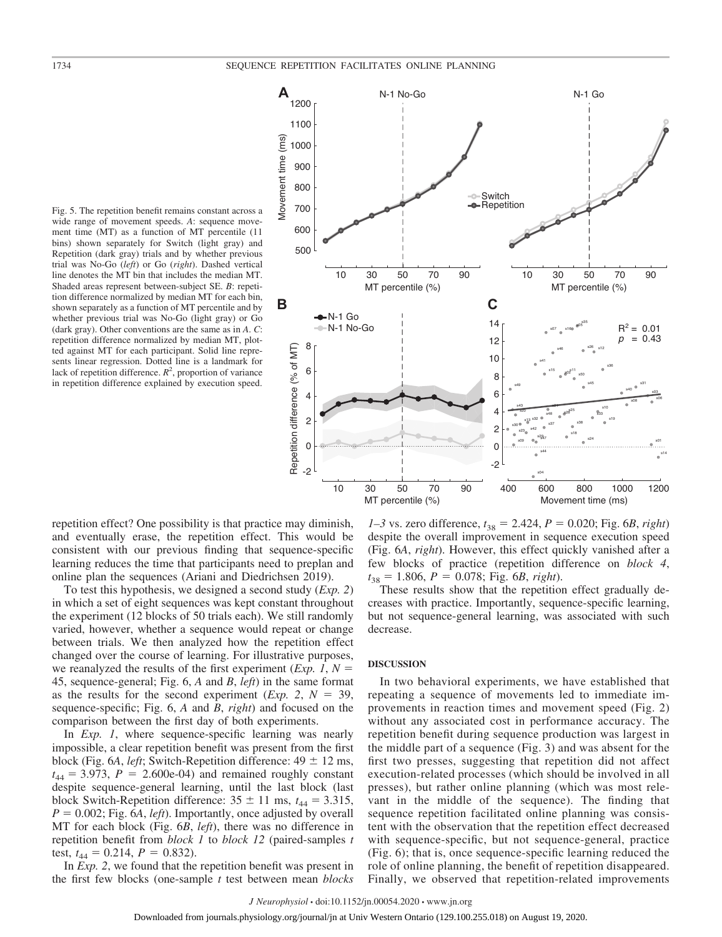

Fig. 5. The repetition benefit remains constant across a wide range of movement speeds. *A*: sequence movement time (MT) as a function of MT percentile (11 bins) shown separately for Switch (light gray) and Repetition (dark gray) trials and by whether previous trial was No-Go (*left*) or Go (*right*). Dashed vertical line denotes the MT bin that includes the median MT. Shaded areas represent between-subject SE. *B*: repetition difference normalized by median MT for each bin, shown separately as a function of MT percentile and by whether previous trial was No-Go (light gray) or Go (dark gray). Other conventions are the same as in *A*. *C*: repetition difference normalized by median MT, plotted against MT for each participant. Solid line represents linear regression. Dotted line is a landmark for lack of repetition difference.  $R^2$ , proportion of variance in repetition difference explained by execution speed.

repetition effect? One possibility is that practice may diminish, and eventually erase, the repetition effect. This would be consistent with our previous finding that sequence-specific learning reduces the time that participants need to preplan and online plan the sequences (Ariani and Diedrichsen 2019).

To test this hypothesis, we designed a second study (*Exp. 2*) in which a set of eight sequences was kept constant throughout the experiment (12 blocks of 50 trials each). We still randomly varied, however, whether a sequence would repeat or change between trials. We then analyzed how the repetition effect changed over the course of learning. For illustrative purposes, we reanalyzed the results of the first experiment (*Exp. 1*,  $N =$ 45, sequence-general; Fig. 6, *A* and *B*, *left*) in the same format as the results for the second experiment (*Exp.* 2,  $N = 39$ , sequence-specific; Fig. 6, *A* and *B*, *right*) and focused on the comparison between the first day of both experiments.

In *Exp. 1*, where sequence-specific learning was nearly impossible, a clear repetition benefit was present from the first block (Fig. 6*A*, *left*; Switch-Repetition difference:  $49 \pm 12$  ms,  $t_{44} = 3.973$ ,  $P = 2.600e-04$ ) and remained roughly constant despite sequence-general learning, until the last block (last block Switch-Repetition difference:  $35 \pm 11$  ms,  $t_{44} = 3.315$ ,  $P = 0.002$ ; Fig. 6*A*, *left*). Importantly, once adjusted by overall MT for each block (Fig. 6*B*, *left*), there was no difference in repetition benefit from *block 1* to *block 12* (paired-samples *t* test,  $t_{44} = 0.214$ ,  $P = 0.832$ ).

In *Exp. 2*, we found that the repetition benefit was present in the first few blocks (one-sample *t* test between mean *blocks*

*1–3* vs. zero difference,  $t_{38} = 2.424$ ,  $P = 0.020$ ; Fig. 6*B*, *right*) despite the overall improvement in sequence execution speed (Fig. 6*A*, *right*). However, this effect quickly vanished after a few blocks of practice (repetition difference on *block 4*,  $t_{38} = 1.806$ ,  $P = 0.078$ ; Fig. 6*B*, *right*).

These results show that the repetition effect gradually decreases with practice. Importantly, sequence-specific learning, but not sequence-general learning, was associated with such decrease.

#### **DISCUSSION**

In two behavioral experiments, we have established that repeating a sequence of movements led to immediate improvements in reaction times and movement speed (Fig. 2) without any associated cost in performance accuracy. The repetition benefit during sequence production was largest in the middle part of a sequence (Fig. 3) and was absent for the first two presses, suggesting that repetition did not affect execution-related processes (which should be involved in all presses), but rather online planning (which was most relevant in the middle of the sequence). The finding that sequence repetition facilitated online planning was consistent with the observation that the repetition effect decreased with sequence-specific, but not sequence-general, practice (Fig. 6); that is, once sequence-specific learning reduced the role of online planning, the benefit of repetition disappeared. Finally, we observed that repetition-related improvements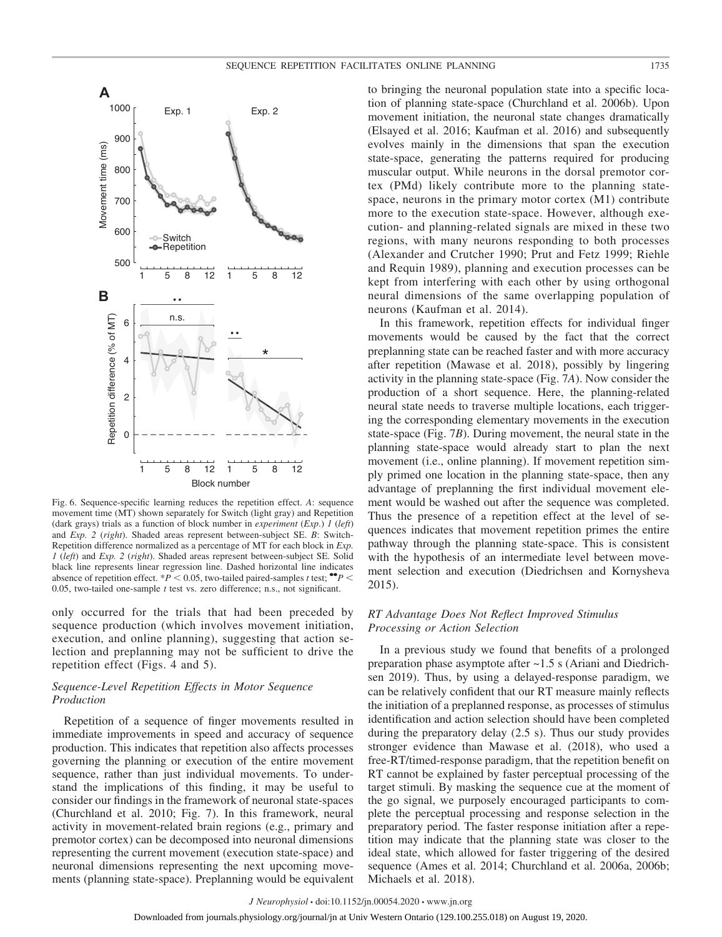

Fig. 6. Sequence-specific learning reduces the repetition effect. *A*: sequence movement time (MT) shown separately for Switch (light gray) and Repetition (dark grays) trials as a function of block number in *experiment* (*Exp*.) *1* (*left*) and *Exp. 2* (*right*). Shaded areas represent between-subject SE. *B*: Switch-Repetition difference normalized as a percentage of MT for each block in *Exp. 1* (*left*) and *Exp. 2* (*right*). Shaded areas represent between-subject SE. Solid black line represents linear regression line. Dashed horizontal line indicates absence of repetition effect. \**P* < 0.05, two-tailed paired-samples *t* test;  $\bullet$   $\bullet$ *P* < 0.05, two-tailed one-sample *t* test vs. zero difference; n.s., not significant.

only occurred for the trials that had been preceded by sequence production (which involves movement initiation, execution, and online planning), suggesting that action selection and preplanning may not be sufficient to drive the repetition effect (Figs. 4 and 5).

# *Sequence-Level Repetition Effects in Motor Sequence Production*

Repetition of a sequence of finger movements resulted in immediate improvements in speed and accuracy of sequence production. This indicates that repetition also affects processes governing the planning or execution of the entire movement sequence, rather than just individual movements. To understand the implications of this finding, it may be useful to consider our findings in the framework of neuronal state-spaces (Churchland et al. 2010; Fig. 7). In this framework, neural activity in movement-related brain regions (e.g., primary and premotor cortex) can be decomposed into neuronal dimensions representing the current movement (execution state-space) and neuronal dimensions representing the next upcoming movements (planning state-space). Preplanning would be equivalent

to bringing the neuronal population state into a specific location of planning state-space (Churchland et al. 2006b). Upon movement initiation, the neuronal state changes dramatically (Elsayed et al. 2016; Kaufman et al. 2016) and subsequently evolves mainly in the dimensions that span the execution state-space, generating the patterns required for producing muscular output. While neurons in the dorsal premotor cortex (PMd) likely contribute more to the planning statespace, neurons in the primary motor cortex (M1) contribute more to the execution state-space. However, although execution- and planning-related signals are mixed in these two regions, with many neurons responding to both processes (Alexander and Crutcher 1990; Prut and Fetz 1999; Riehle and Requin 1989), planning and execution processes can be kept from interfering with each other by using orthogonal neural dimensions of the same overlapping population of neurons (Kaufman et al. 2014).

In this framework, repetition effects for individual finger movements would be caused by the fact that the correct preplanning state can be reached faster and with more accuracy after repetition (Mawase et al. 2018), possibly by lingering activity in the planning state-space (Fig. 7*A*). Now consider the production of a short sequence. Here, the planning-related neural state needs to traverse multiple locations, each triggering the corresponding elementary movements in the execution state-space (Fig. 7*B*). During movement, the neural state in the planning state-space would already start to plan the next movement (i.e., online planning). If movement repetition simply primed one location in the planning state-space, then any advantage of preplanning the first individual movement element would be washed out after the sequence was completed. Thus the presence of a repetition effect at the level of sequences indicates that movement repetition primes the entire pathway through the planning state-space. This is consistent with the hypothesis of an intermediate level between movement selection and execution (Diedrichsen and Kornysheva 2015).

# *RT Advantage Does Not Reflect Improved Stimulus Processing or Action Selection*

In a previous study we found that benefits of a prolonged preparation phase asymptote after ~1.5 s (Ariani and Diedrichsen 2019). Thus, by using a delayed-response paradigm, we can be relatively confident that our RT measure mainly reflects the initiation of a preplanned response, as processes of stimulus identification and action selection should have been completed during the preparatory delay (2.5 s). Thus our study provides stronger evidence than Mawase et al. (2018), who used a free-RT/timed-response paradigm, that the repetition benefit on RT cannot be explained by faster perceptual processing of the target stimuli. By masking the sequence cue at the moment of the go signal, we purposely encouraged participants to complete the perceptual processing and response selection in the preparatory period. The faster response initiation after a repetition may indicate that the planning state was closer to the ideal state, which allowed for faster triggering of the desired sequence (Ames et al. 2014; Churchland et al. 2006a, 2006b; Michaels et al. 2018).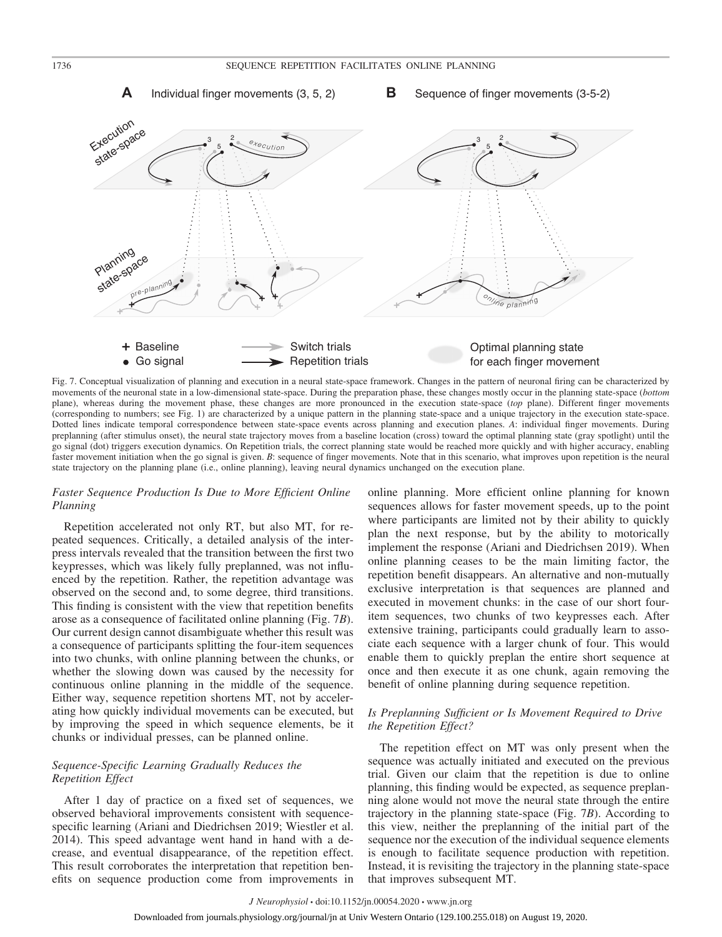**A** Individual finger movements (3, 5, 2) **B** Sequence of finger movements (3-5-2)



Fig. 7. Conceptual visualization of planning and execution in a neural state-space framework. Changes in the pattern of neuronal firing can be characterized by movements of the neuronal state in a low-dimensional state-space. During the preparation phase, these changes mostly occur in the planning state-space (*bottom* plane), whereas during the movement phase, these changes are more pronounced in the execution state-space (*top* plane). Different finger movements (corresponding to numbers; see Fig. 1) are characterized by a unique pattern in the planning state-space and a unique trajectory in the execution state-space. Dotted lines indicate temporal correspondence between state-space events across planning and execution planes. *A*: individual finger movements. During preplanning (after stimulus onset), the neural state trajectory moves from a baseline location (cross) toward the optimal planning state (gray spotlight) until the go signal (dot) triggers execution dynamics. On Repetition trials, the correct planning state would be reached more quickly and with higher accuracy, enabling faster movement initiation when the go signal is given. *B*: sequence of finger movements. Note that in this scenario, what improves upon repetition is the neural state trajectory on the planning plane (i.e., online planning), leaving neural dynamics unchanged on the execution plane.

# *Faster Sequence Production Is Due to More Efficient Online Planning*

Repetition accelerated not only RT, but also MT, for repeated sequences. Critically, a detailed analysis of the interpress intervals revealed that the transition between the first two keypresses, which was likely fully preplanned, was not influenced by the repetition. Rather, the repetition advantage was observed on the second and, to some degree, third transitions. This finding is consistent with the view that repetition benefits arose as a consequence of facilitated online planning (Fig. 7*B*). Our current design cannot disambiguate whether this result was a consequence of participants splitting the four-item sequences into two chunks, with online planning between the chunks, or whether the slowing down was caused by the necessity for continuous online planning in the middle of the sequence. Either way, sequence repetition shortens MT, not by accelerating how quickly individual movements can be executed, but by improving the speed in which sequence elements, be it chunks or individual presses, can be planned online.

# *Sequence-Specific Learning Gradually Reduces the Repetition Effect*

After 1 day of practice on a fixed set of sequences, we observed behavioral improvements consistent with sequencespecific learning (Ariani and Diedrichsen 2019; Wiestler et al. 2014). This speed advantage went hand in hand with a decrease, and eventual disappearance, of the repetition effect. This result corroborates the interpretation that repetition benefits on sequence production come from improvements in

online planning. More efficient online planning for known sequences allows for faster movement speeds, up to the point where participants are limited not by their ability to quickly plan the next response, but by the ability to motorically implement the response (Ariani and Diedrichsen 2019). When online planning ceases to be the main limiting factor, the repetition benefit disappears. An alternative and non-mutually exclusive interpretation is that sequences are planned and executed in movement chunks: in the case of our short fouritem sequences, two chunks of two keypresses each. After extensive training, participants could gradually learn to associate each sequence with a larger chunk of four. This would enable them to quickly preplan the entire short sequence at once and then execute it as one chunk, again removing the benefit of online planning during sequence repetition.

# *Is Preplanning Sufficient or Is Movement Required to Drive the Repetition Effect?*

The repetition effect on MT was only present when the sequence was actually initiated and executed on the previous trial. Given our claim that the repetition is due to online planning, this finding would be expected, as sequence preplanning alone would not move the neural state through the entire trajectory in the planning state-space (Fig. 7*B*). According to this view, neither the preplanning of the initial part of the sequence nor the execution of the individual sequence elements is enough to facilitate sequence production with repetition. Instead, it is revisiting the trajectory in the planning state-space that improves subsequent MT.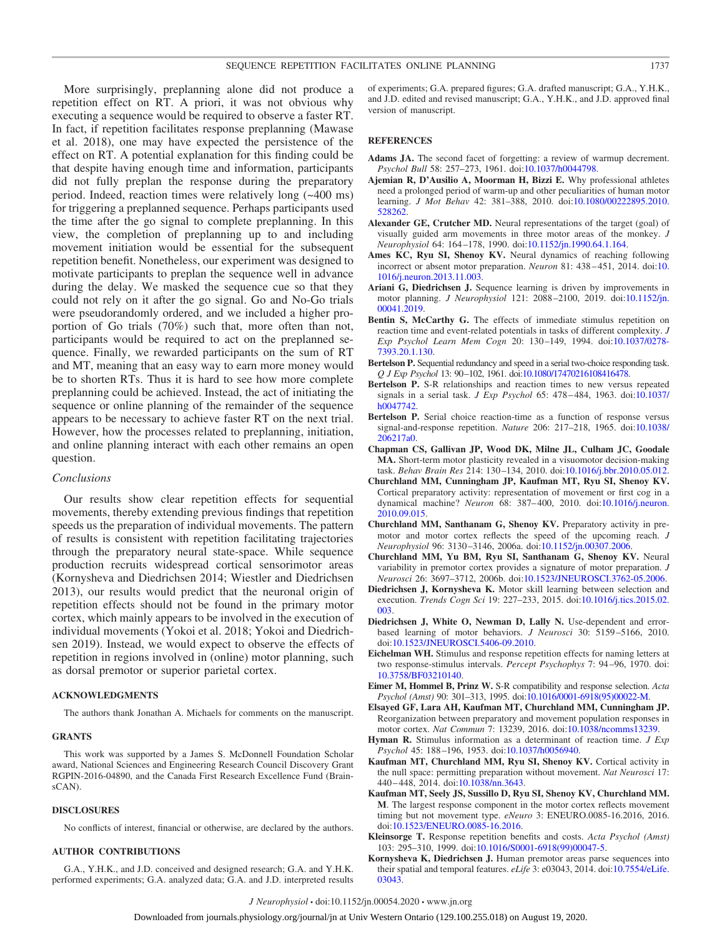More surprisingly, preplanning alone did not produce a repetition effect on RT. A priori, it was not obvious why executing a sequence would be required to observe a faster RT. In fact, if repetition facilitates response preplanning (Mawase et al. 2018), one may have expected the persistence of the effect on RT. A potential explanation for this finding could be that despite having enough time and information, participants did not fully preplan the response during the preparatory period. Indeed, reaction times were relatively long (~400 ms) for triggering a preplanned sequence. Perhaps participants used the time after the go signal to complete preplanning. In this view, the completion of preplanning up to and including movement initiation would be essential for the subsequent repetition benefit. Nonetheless, our experiment was designed to motivate participants to preplan the sequence well in advance during the delay. We masked the sequence cue so that they could not rely on it after the go signal. Go and No-Go trials were pseudorandomly ordered, and we included a higher proportion of Go trials (70%) such that, more often than not, participants would be required to act on the preplanned sequence. Finally, we rewarded participants on the sum of RT and MT, meaning that an easy way to earn more money would be to shorten RTs. Thus it is hard to see how more complete preplanning could be achieved. Instead, the act of initiating the sequence or online planning of the remainder of the sequence appears to be necessary to achieve faster RT on the next trial. However, how the processes related to preplanning, initiation, and online planning interact with each other remains an open question.

# *Conclusions*

Our results show clear repetition effects for sequential movements, thereby extending previous findings that repetition speeds us the preparation of individual movements. The pattern of results is consistent with repetition facilitating trajectories through the preparatory neural state-space. While sequence production recruits widespread cortical sensorimotor areas (Kornysheva and Diedrichsen 2014; Wiestler and Diedrichsen 2013), our results would predict that the neuronal origin of repetition effects should not be found in the primary motor cortex, which mainly appears to be involved in the execution of individual movements (Yokoi et al. 2018; Yokoi and Diedrichsen 2019). Instead, we would expect to observe the effects of repetition in regions involved in (online) motor planning, such as dorsal premotor or superior parietal cortex.

# **ACKNOWLEDGMENTS**

The authors thank Jonathan A. Michaels for comments on the manuscript.

#### **GRANTS**

This work was supported by a James S. McDonnell Foundation Scholar award, National Sciences and Engineering Research Council Discovery Grant RGPIN-2016-04890, and the Canada First Research Excellence Fund (BrainsCAN).

#### **DISCLOSURES**

No conflicts of interest, financial or otherwise, are declared by the authors.

# **AUTHOR CONTRIBUTIONS**

G.A., Y.H.K., and J.D. conceived and designed research; G.A. and Y.H.K. performed experiments; G.A. analyzed data; G.A. and J.D. interpreted results of experiments; G.A. prepared figures; G.A. drafted manuscript; G.A., Y.H.K., and J.D. edited and revised manuscript; G.A., Y.H.K., and J.D. approved final version of manuscript.

#### **REFERENCES**

- **Adams JA.** The second facet of forgetting: a review of warmup decrement. *Psychol Bull* 58: 257–273, 1961. doi[:10.1037/h0044798.](https://doi.org/10.1037/h0044798)
- **Ajemian R, D'Ausilio A, Moorman H, Bizzi E.** Why professional athletes need a prolonged period of warm-up and other peculiarities of human motor learning. *J Mot Behav* 42: 381–388, 2010. doi[:10.1080/00222895.2010.](https://doi.org/10.1080/00222895.2010.528262) [528262.](https://doi.org/10.1080/00222895.2010.528262)
- **Alexander GE, Crutcher MD.** Neural representations of the target (goal) of visually guided arm movements in three motor areas of the monkey. *J Neurophysiol* 64: 164 –178, 1990. doi[:10.1152/jn.1990.64.1.164.](https://doi.org/10.1152/jn.1990.64.1.164)
- **Ames KC, Ryu SI, Shenoy KV.** Neural dynamics of reaching following incorrect or absent motor preparation. *Neuron* 81: 438 – 451, 2014. doi[:10.](https://doi.org/10.1016/j.neuron.2013.11.003) [1016/j.neuron.2013.11.003.](https://doi.org/10.1016/j.neuron.2013.11.003)
- **Ariani G, Diedrichsen J.** Sequence learning is driven by improvements in motor planning. *J Neurophysiol* 121: 2088 –2100, 2019. doi[:10.1152/jn.](https://doi.org/10.1152/jn.00041.2019) [00041.2019.](https://doi.org/10.1152/jn.00041.2019)
- **Bentin S, McCarthy G.** The effects of immediate stimulus repetition on reaction time and event-related potentials in tasks of different complexity. *J Exp Psychol Learn Mem Cogn* 20: 130 –149, 1994. doi[:10.1037/0278-](https://doi.org/10.1037/0278-7393.20.1.130) [7393.20.1.130.](https://doi.org/10.1037/0278-7393.20.1.130)
- **Bertelson P.** Sequential redundancy and speed in a serial two-choice responding task. *Q J Exp Psychol* 13: 90–102, 1961. doi[:10.1080/17470216108416478.](https://doi.org/10.1080/17470216108416478)
- **Bertelson P.** S-R relationships and reaction times to new versus repeated signals in a serial task. *J Exp Psychol* 65: 478 – 484, 1963. doi[:10.1037/](https://doi.org/10.1037/h0047742) [h0047742.](https://doi.org/10.1037/h0047742)
- **Bertelson P.** Serial choice reaction-time as a function of response versus signal-and-response repetition. *Nature* 206: 217–218, 1965. doi[:10.1038/](https://doi.org/10.1038/206217a0) [206217a0.](https://doi.org/10.1038/206217a0)
- **Chapman CS, Gallivan JP, Wood DK, Milne JL, Culham JC, Goodale MA.** Short-term motor plasticity revealed in a visuomotor decision-making task. *Behav Brain Res* 214: 130 –134, 2010. doi[:10.1016/j.bbr.2010.05.012.](https://doi.org/10.1016/j.bbr.2010.05.012)
- **Churchland MM, Cunningham JP, Kaufman MT, Ryu SI, Shenoy KV.** Cortical preparatory activity: representation of movement or first cog in a dynamical machine? *Neuron* 68: 387– 400, 2010. doi[:10.1016/j.neuron.](https://doi.org/10.1016/j.neuron.2010.09.015) [2010.09.015.](https://doi.org/10.1016/j.neuron.2010.09.015)
- **Churchland MM, Santhanam G, Shenoy KV.** Preparatory activity in premotor and motor cortex reflects the speed of the upcoming reach. *J Neurophysiol* 96: 3130 –3146, 2006a. doi[:10.1152/jn.00307.2006.](https://doi.org/10.1152/jn.00307.2006)
- **Churchland MM, Yu BM, Ryu SI, Santhanam G, Shenoy KV.** Neural variability in premotor cortex provides a signature of motor preparation. *J Neurosci* 26: 3697–3712, 2006b. doi[:10.1523/JNEUROSCI.3762-05.2006.](https://doi.org/10.1523/JNEUROSCI.3762-05.2006)
- **Diedrichsen J, Kornysheva K.** Motor skill learning between selection and execution. *Trends Cogn Sci* 19: 227–233, 2015. doi[:10.1016/j.tics.2015.02.](https://doi.org/10.1016/j.tics.2015.02.003) [003.](https://doi.org/10.1016/j.tics.2015.02.003)
- **Diedrichsen J, White O, Newman D, Lally N.** Use-dependent and errorbased learning of motor behaviors. *J Neurosci* 30: 5159 –5166, 2010. doi[:10.1523/JNEUROSCI.5406-09.2010.](https://doi.org/10.1523/JNEUROSCI.5406-09.2010)
- **Eichelman WH.** Stimulus and response repetition effects for naming letters at two response-stimulus intervals. *Percept Psychophys* 7: 94 –96, 1970. doi: [10.3758/BF03210140.](https://doi.org/10.3758/BF03210140)
- **Eimer M, Hommel B, Prinz W.** S-R compatibility and response selection. *Acta Psychol (Amst)* 90: 301–313, 1995. doi[:10.1016/0001-6918\(95\)00022-M.](https://doi.org/10.1016/0001-6918(95)00022-M)
- **Elsayed GF, Lara AH, Kaufman MT, Churchland MM, Cunningham JP.** Reorganization between preparatory and movement population responses in motor cortex. *Nat Commun* 7: 13239, 2016. doi[:10.1038/ncomms13239.](https://doi.org/10.1038/ncomms13239)
- **Hyman R.** Stimulus information as a determinant of reaction time. *J Exp Psychol* 45: 188 –196, 1953. doi[:10.1037/h0056940.](https://doi.org/10.1037/h0056940)
- **Kaufman MT, Churchland MM, Ryu SI, Shenoy KV.** Cortical activity in the null space: permitting preparation without movement. *Nat Neurosci* 17: 440 – 448, 2014. doi[:10.1038/nn.3643.](https://doi.org/10.1038/nn.3643)
- **Kaufman MT, Seely JS, Sussillo D, Ryu SI, Shenoy KV, Churchland MM. M**. The largest response component in the motor cortex reflects movement timing but not movement type. *eNeuro* 3: ENEURO.0085-16.2016, 2016. doi[:10.1523/ENEURO.0085-16.2016.](https://doi.org/10.1523/ENEURO.0085-16.2016)
- **Kleinsorge T.** Response repetition benefits and costs. *Acta Psychol (Amst)* 103: 295–310, 1999. doi[:10.1016/S0001-6918\(99\)00047-5.](https://doi.org/10.1016/S0001-6918(99)00047-5)
- **Kornysheva K, Diedrichsen J.** Human premotor areas parse sequences into their spatial and temporal features. *eLife* 3: e03043, 2014. doi[:10.7554/eLife.](https://doi.org/10.7554/eLife.03043) [03043.](https://doi.org/10.7554/eLife.03043)